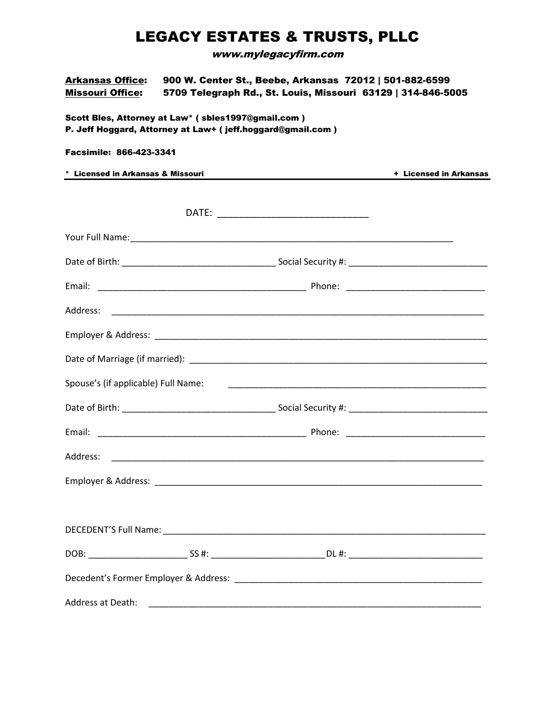## LEGACY ESTATES & TRUSTS, PLLC

www.mylegacyfirm.com

| Arkansas Office: | 900 W. Center St., Beebe, Arkansas 72012   501-882-6599      |
|------------------|--------------------------------------------------------------|
| Missouri Office: | 5709 Telegraph Rd., St. Louis, Missouri 63129   314-846-5005 |

Scott Bles, Attorney at Law\* ( sbles1997@gmail.com ) P. Jeff Hoggard, Attorney at Law+ ( jeff.hoggard@gmail.com )

## Facsimile: 866-423-3341

| * Licensed in Arkansas & Missouri   |                                                                                                                      | + Licensed in Arkansas |
|-------------------------------------|----------------------------------------------------------------------------------------------------------------------|------------------------|
|                                     |                                                                                                                      |                        |
|                                     |                                                                                                                      |                        |
|                                     |                                                                                                                      |                        |
|                                     |                                                                                                                      |                        |
|                                     |                                                                                                                      |                        |
|                                     |                                                                                                                      |                        |
|                                     |                                                                                                                      |                        |
|                                     |                                                                                                                      |                        |
| Spouse's (if applicable) Full Name: | <u> 2000 - Jan James James James James James James James James James James James James James James James James J</u> |                        |
|                                     |                                                                                                                      |                        |
|                                     |                                                                                                                      |                        |
|                                     |                                                                                                                      |                        |
|                                     |                                                                                                                      |                        |
|                                     |                                                                                                                      |                        |
|                                     |                                                                                                                      |                        |
|                                     |                                                                                                                      |                        |
|                                     |                                                                                                                      |                        |
| Address at Death:                   |                                                                                                                      |                        |